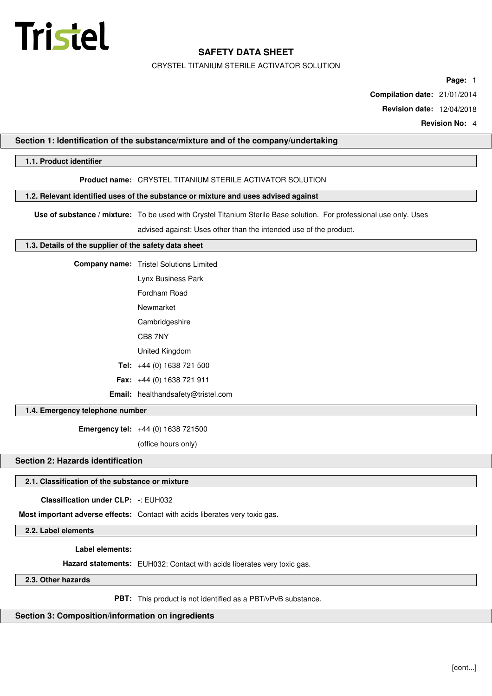

CRYSTEL TITANIUM STERILE ACTIVATOR SOLUTION

**Page:** 1

**Compilation date:** 21/01/2014

**Revision date:** 12/04/2018

**Revision No:** 4

## **Section 1: Identification of the substance/mixture and of the company/undertaking**

## **1.1. Product identifier**

## **Product name:** CRYSTEL TITANIUM STERILE ACTIVATOR SOLUTION

## **1.2. Relevant identified uses of the substance or mixture and uses advised against**

**Use of substance / mixture:** To be used with Crystel Titanium Sterile Base solution. For professional use only. Uses

advised against: Uses other than the intended use of the product.

#### **1.3. Details of the supplier of the safety data sheet**

**Company name:** Tristel Solutions Limited

Lynx Business Park

Fordham Road

Newmarket

Cambridgeshire

CB8 7NY

United Kingdom

**Tel:** +44 (0) 1638 721 500

**Fax:** +44 (0) 1638 721 911

**Email:** healthandsafety@tristel.com

## **1.4. Emergency telephone number**

**Emergency tel:** +44 (0) 1638 721500

(office hours only)

# **Section 2: Hazards identification**

#### **2.1. Classification of the substance or mixture**

**Classification under CLP:** -: EUH032

**Most important adverse effects:** Contact with acids liberates very toxic gas.

**2.2. Label elements**

**Label elements:**

**Hazard statements:** EUH032: Contact with acids liberates very toxic gas.

**2.3. Other hazards**

**PBT:** This product is not identified as a PBT/vPvB substance.

## **Section 3: Composition/information on ingredients**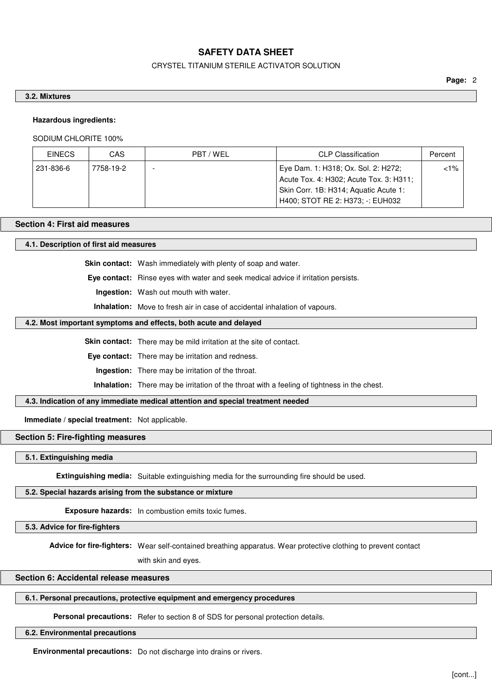### CRYSTEL TITANIUM STERILE ACTIVATOR SOLUTION

#### **3.2. Mixtures**

#### **Hazardous ingredients:**

SODIUM CHLORITE 100%

| <b>EINECS</b> | CAS       | PBT / WEL | <b>CLP Classification</b>                                                                                                                                   | Percent |
|---------------|-----------|-----------|-------------------------------------------------------------------------------------------------------------------------------------------------------------|---------|
| 231-836-6     | 7758-19-2 | -         | Eye Dam. 1: H318; Ox. Sol. 2: H272;<br>Acute Tox. 4: H302; Acute Tox. 3: H311;<br>Skin Corr. 1B: H314; Aquatic Acute 1:<br>H400; STOT RE 2: H373; -: EUH032 | $< 1\%$ |

## **Section 4: First aid measures**

**4.1. Description of first aid measures**

**Skin contact:** Wash immediately with plenty of soap and water.

**Eye contact:** Rinse eyes with water and seek medical advice if irritation persists.

**Ingestion:** Wash out mouth with water.

**Inhalation:** Move to fresh air in case of accidental inhalation of vapours.

## **4.2. Most important symptoms and effects, both acute and delayed**

**Skin contact:** There may be mild irritation at the site of contact.

**Eye contact:** There may be irritation and redness.

**Ingestion:** There may be irritation of the throat.

**Inhalation:** There may be irritation of the throat with a feeling of tightness in the chest.

## **4.3. Indication of any immediate medical attention and special treatment needed**

**Immediate / special treatment:** Not applicable.

## **Section 5: Fire-fighting measures**

**5.1. Extinguishing media**

**Extinguishing media:** Suitable extinguishing media for the surrounding fire should be used.

## **5.2. Special hazards arising from the substance or mixture**

**Exposure hazards:** In combustion emits toxic fumes.

**5.3. Advice for fire-fighters**

**Advice for fire-fighters:** Wear self-contained breathing apparatus. Wear protective clothing to prevent contact

with skin and eyes.

# **Section 6: Accidental release measures**

## **6.1. Personal precautions, protective equipment and emergency procedures**

**Personal precautions:** Refer to section 8 of SDS for personal protection details.

#### **6.2. Environmental precautions**

**Environmental precautions:** Do not discharge into drains or rivers.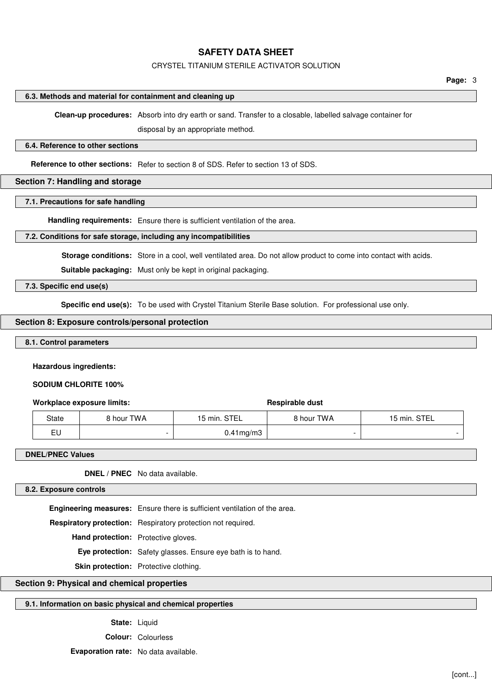#### CRYSTEL TITANIUM STERILE ACTIVATOR SOLUTION

#### **6.3. Methods and material for containment and cleaning up**

**Clean-up procedures:** Absorb into dry earth or sand. Transfer to a closable, labelled salvage container for

disposal by an appropriate method.

#### **6.4. Reference to other sections**

**Reference to other sections:** Refer to section 8 of SDS. Refer to section 13 of SDS.

### **Section 7: Handling and storage**

#### **7.1. Precautions for safe handling**

**Handling requirements:** Ensure there is sufficient ventilation of the area.

#### **7.2. Conditions for safe storage, including any incompatibilities**

**Storage conditions:** Store in a cool, well ventilated area. Do not allow product to come into contact with acids.

**Suitable packaging:** Must only be kept in original packaging.

## **7.3. Specific end use(s)**

**Specific end use(s):** To be used with Crystel Titanium Sterile Base solution. For professional use only.

## **Section 8: Exposure controls/personal protection**

## **8.1. Control parameters**

#### **Hazardous ingredients:**

**SODIUM CHLORITE 100%**

#### **Workplace exposure limits: Respirable dust Respirable dust**

| <b>State</b> | 8 hour TWA | STEL<br>$5$ min. | <b>8 hour TWA</b> | <b>STEL</b><br>$15$ min. |
|--------------|------------|------------------|-------------------|--------------------------|
| EU           |            | 1mg/m3           |                   |                          |

### **DNEL/PNEC Values**

**DNEL / PNEC** No data available.

#### **8.2. Exposure controls**

**Engineering measures:** Ensure there is sufficient ventilation of the area. **Respiratory protection:** Respiratory protection not required. **Hand protection:** Protective gloves. **Eye protection:** Safety glasses. Ensure eye bath is to hand. **Skin protection:** Protective clothing.

# **Section 9: Physical and chemical properties**

## **9.1. Information on basic physical and chemical properties**

**State:** Liquid

**Colour:** Colourless

**Evaporation rate:** No data available.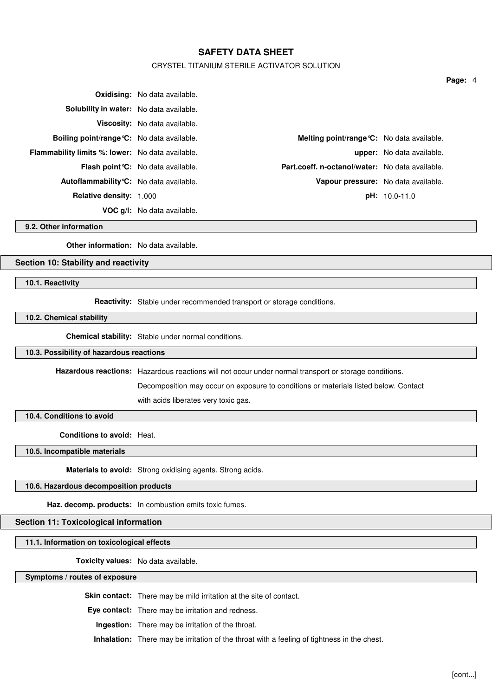## CRYSTEL TITANIUM STERILE ACTIVATOR SOLUTION

|                                                         | <b>Oxidising:</b> No data available.      |                                                   |                                  |
|---------------------------------------------------------|-------------------------------------------|---------------------------------------------------|----------------------------------|
| Solubility in water: No data available.                 |                                           |                                                   |                                  |
|                                                         | <b>Viscosity:</b> No data available.      |                                                   |                                  |
| <b>Boiling point/range °C:</b> No data available.       |                                           | <b>Melting point/range °C:</b> No data available. |                                  |
| <b>Flammability limits %: lower:</b> No data available. |                                           |                                                   | <b>upper:</b> No data available. |
|                                                         | <b>Flash point °C:</b> No data available. | Part.coeff. n-octanol/water: No data available.   |                                  |
| Autoflammability °C: No data available.                 |                                           | Vapour pressure: No data available.               |                                  |
| <b>Relative density: 1.000</b>                          |                                           |                                                   | $pH: 10.0-11.0$                  |
|                                                         | <b>VOC g/l:</b> No data available.        |                                                   |                                  |

**9.2. Other information**

**Other information:** No data available.

# **Section 10: Stability and reactivity**

**10.1. Reactivity**

**Reactivity:** Stable under recommended transport or storage conditions.

**10.2. Chemical stability**

**Chemical stability:** Stable under normal conditions.

#### **10.3. Possibility of hazardous reactions**

**Hazardous reactions:** Hazardous reactions will not occur under normal transport or storage conditions.

Decomposition may occur on exposure to conditions or materials listed below. Contact with acids liberates very toxic gas.

**10.4. Conditions to avoid**

**Conditions to avoid:** Heat.

**10.5. Incompatible materials**

**Materials to avoid:** Strong oxidising agents. Strong acids.

# **10.6. Hazardous decomposition products**

**Haz. decomp. products:** In combustion emits toxic fumes.

## **Section 11: Toxicological information**

**11.1. Information on toxicological effects**

**Toxicity values:** No data available.

**Symptoms / routes of exposure**

**Skin contact:** There may be mild irritation at the site of contact.

**Eye contact:** There may be irritation and redness.

**Ingestion:** There may be irritation of the throat.

**Inhalation:** There may be irritation of the throat with a feeling of tightness in the chest.

**Page:** 4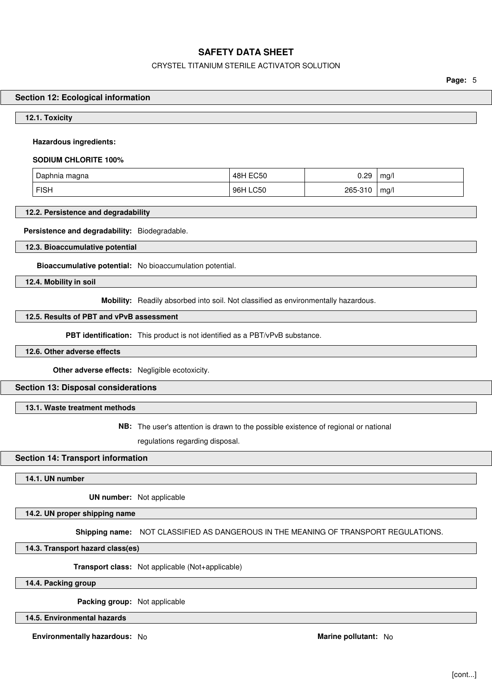## CRYSTEL TITANIUM STERILE ACTIVATOR SOLUTION

**Page:** 5

#### **Section 12: Ecological information**

#### **12.1. Toxicity**

### **Hazardous ingredients:**

#### **SODIUM CHLORITE 100%**

| . Daphnia magna | <b>EC50</b><br>48H | 0.29    | mq/ |
|-----------------|--------------------|---------|-----|
| <b>FISH</b>     | 96H LC50           | 265-310 | mq/ |

## **12.2. Persistence and degradability**

#### **Persistence and degradability:** Biodegradable.

**12.3. Bioaccumulative potential**

**Bioaccumulative potential:** No bioaccumulation potential.

**12.4. Mobility in soil**

**Mobility:** Readily absorbed into soil. Not classified as environmentally hazardous.

# **12.5. Results of PBT and vPvB assessment**

**PBT identification:** This product is not identified as a PBT/vPvB substance.

## **12.6. Other adverse effects**

**Other adverse effects:** Negligible ecotoxicity.

#### **Section 13: Disposal considerations**

## **13.1. Waste treatment methods**

**NB:** The user's attention is drawn to the possible existence of regional or national

regulations regarding disposal.

## **Section 14: Transport information**

#### **14.1. UN number**

**UN number:** Not applicable

**14.2. UN proper shipping name**

**Shipping name:** NOT CLASSIFIED AS DANGEROUS IN THE MEANING OF TRANSPORT REGULATIONS.

**14.3. Transport hazard class(es)**

**Transport class:** Not applicable (Not+applicable)

**14.4. Packing group**

**Packing group:** Not applicable

**14.5. Environmental hazards**

**Environmentally hazardous:** No **Marine pollutant:** No